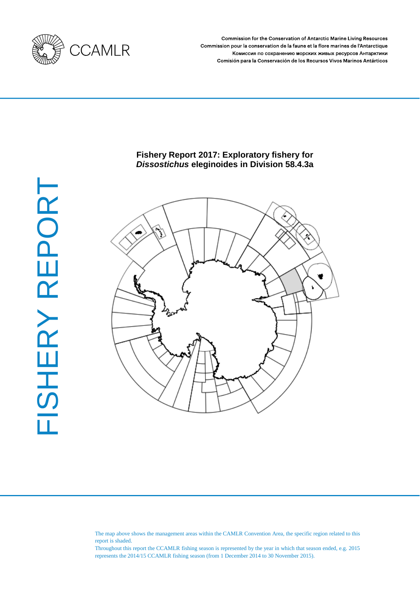

Commission for the Conservation of Antarctic Marine Living Resources Commission pour la conservation de la faune et la flore marines de l'Antarctique Комиссия по сохранению морских живых ресурсов Антарктики Comisión para la Conservación de los Recursos Vivos Marinos Antárticos

# **Fishery Report 2017: Exploratory fishery for**  *Dissostichus* **eleginoides in Division 58.4.3a**



The map above shows the management areas within the CAMLR Convention Area, the specific region related to this report is shaded.

Throughout this report the CCAMLR fishing season is represented by the year in which that season ended, e.g. 2015 represents the 2014/15 CCAMLR fishing season (from 1 December 2014 to 30 November 2015).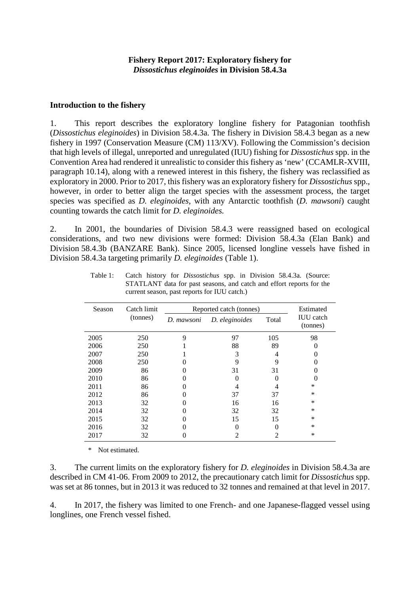#### **Introduction to the fishery**

1. This report describes the exploratory longline fishery for Patagonian toothfish (*Dissostichus eleginoides*) in Division 58.4.3a. The fishery in Division 58.4.3 began as a new fishery in 1997 (Conservation Measure (CM) 113/XV). Following the Commission's decision that high levels of illegal, unreported and unregulated (IUU) fishing for *Dissostichus* spp. in the Convention Area had rendered it unrealistic to consider this fishery as 'new' (CCAMLR-XVIII, paragraph 10.14), along with a renewed interest in this fishery, the fishery was reclassified as exploratory in 2000. Prior to 2017, this fishery was an exploratory fishery for *Dissostichus* spp., however, in order to better align the target species with the assessment process, the target species was specified as *D. eleginoides*, with any Antarctic toothfish (*D. mawsoni*) caught counting towards the catch limit for *D. eleginoides.*

2. In 2001, the boundaries of Division 58.4.3 were reassigned based on ecological considerations, and two new divisions were formed: Division 58.4.3a (Elan Bank) and Division 58.4.3b (BANZARE Bank). Since 2005, licensed longline vessels have fished in Division 58.4.3a targeting primarily *D. eleginoides* (Table 1).

| Season | Catch limit | Reported catch (tonnes) | Estimated      |       |                              |  |
|--------|-------------|-------------------------|----------------|-------|------------------------------|--|
|        | (tonnes)    | D. mawsoni              | D. eleginoides | Total | <b>IUU</b> catch<br>(tonnes) |  |
| 2005   | 250         | 9                       | 97             | 105   | 98                           |  |
| 2006   | 250         |                         | 88             | 89    |                              |  |
| 2007   | 250         |                         | 3              |       |                              |  |
| 2008   | 250         |                         | 9              | 9     |                              |  |
| 2009   | 86          |                         | 31             | 31    |                              |  |
| 2010   | 86          |                         |                |       |                              |  |
| 2011   | 86          |                         | 4              |       | $\ast$                       |  |
| 2012   | 86          |                         | 37             | 37    | $\ast$                       |  |
| 2013   | 32          |                         | 16             | 16    | $\ast$                       |  |
| 2014   | 32          |                         | 32             | 32    | $\ast$                       |  |
| 2015   | 32          |                         | 15             | 15    | $\ast$                       |  |
| 2016   | 32          |                         |                |       | $\ast$                       |  |
| 2017   | 32          |                         |                | 2     | $\ast$                       |  |

Table 1: Catch history for *Dissostichus* spp. in Division 58.4.3a. (Source: STATLANT data for past seasons, and catch and effort reports for the current season, past reports for IUU catch.)

\* Not estimated.

3. The current limits on the exploratory fishery for *D. eleginoides* in Division 58.4.3a are described in CM 41-06. From 2009 to 2012, the precautionary catch limit for *Dissostichus* spp. was set at 86 tonnes, but in 2013 it was reduced to 32 tonnes and remained at that level in 2017.

4. In 2017, the fishery was limited to one French- and one Japanese-flagged vessel using longlines, one French vessel fished.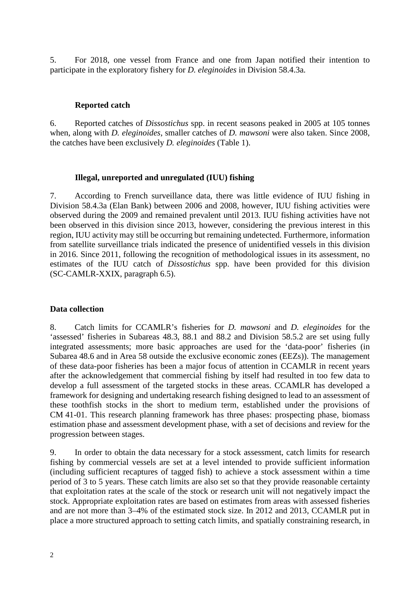5. For 2018, one vessel from France and one from Japan notified their intention to participate in the exploratory fishery for *D. eleginoides* in Division 58.4.3a.

### **Reported catch**

6. Reported catches of *Dissostichus* spp. in recent seasons peaked in 2005 at 105 tonnes when, along with *D. eleginoides*, smaller catches of *D. mawsoni* were also taken. Since 2008, the catches have been exclusively *D. eleginoides* (Table 1).

### **Illegal, unreported and unregulated (IUU) fishing**

7. According to French surveillance data, there was little evidence of IUU fishing in Division 58.4.3a (Elan Bank) between 2006 and 2008, however, IUU fishing activities were observed during the 2009 and remained prevalent until 2013. IUU fishing activities have not been observed in this division since 2013, however, considering the previous interest in this region, IUU activity may still be occurring but remaining undetected. Furthermore, information from satellite surveillance trials indicated the presence of unidentified vessels in this division in 2016. Since 2011, following the recognition of methodological issues in its assessment, no estimates of the IUU catch of *Dissostichus* spp. have been provided for this division (SC-CAMLR-XXIX, paragraph 6.5).

### **Data collection**

8. Catch limits for CCAMLR's fisheries for *D. mawsoni* and *D. eleginoides* for the 'assessed' fisheries in Subareas 48.3, 88.1 and 88.2 and Division 58.5.2 are set using fully integrated assessments; more basic approaches are used for the 'data-poor' fisheries (in Subarea 48.6 and in Area 58 outside the exclusive economic zones (EEZs)). The management of these data-poor fisheries has been a major focus of attention in CCAMLR in recent years after the acknowledgement that commercial fishing by itself had resulted in too few data to develop a full assessment of the targeted stocks in these areas. CCAMLR has developed a framework for designing and undertaking research fishing designed to lead to an assessment of these toothfish stocks in the short to medium term, established under the provisions of CM 41-01. This research planning framework has three phases: prospecting phase, biomass estimation phase and assessment development phase, with a set of decisions and review for the progression between stages.

9. In order to obtain the data necessary for a stock assessment, catch limits for research fishing by commercial vessels are set at a level intended to provide sufficient information (including sufficient recaptures of tagged fish) to achieve a stock assessment within a time period of 3 to 5 years. These catch limits are also set so that they provide reasonable certainty that exploitation rates at the scale of the stock or research unit will not negatively impact the stock. Appropriate exploitation rates are based on estimates from areas with assessed fisheries and are not more than 3–4% of the estimated stock size. In 2012 and 2013, CCAMLR put in place a more structured approach to setting catch limits, and spatially constraining research, in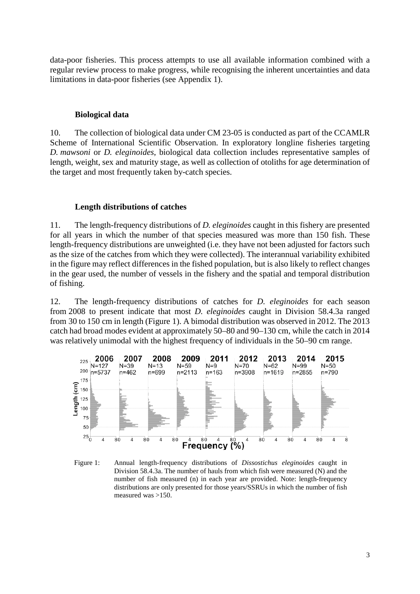data-poor fisheries. This process attempts to use all available information combined with a regular review process to make progress, while recognising the inherent uncertainties and data limitations in data-poor fisheries (see Appendix 1).

#### **Biological data**

10. The collection of biological data under CM 23-05 is conducted as part of the CCAMLR Scheme of International Scientific Observation. In exploratory longline fisheries targeting *D. mawsoni* or *D. eleginoides*, biological data collection includes representative samples of length, weight, sex and maturity stage, as well as collection of otoliths for age determination of the target and most frequently taken by-catch species.

### **Length distributions of catches**

11. The length-frequency distributions of *D. eleginoides* caught in this fishery are presented for all years in which the number of that species measured was more than 150 fish. These length-frequency distributions are unweighted (i.e. they have not been adjusted for factors such as the size of the catches from which they were collected). The interannual variability exhibited in the figure may reflect differences in the fished population, but is also likely to reflect changes in the gear used, the number of vessels in the fishery and the spatial and temporal distribution of fishing.

12. The length-frequency distributions of catches for *D. eleginoides* for each season from 2008 to present indicate that most *D. eleginoides* caught in Division 58.4.3a ranged from 30 to 150 cm in length (Figure 1). A bimodal distribution was observed in 2012. The 2013 catch had broad modes evident at approximately 50–80 and 90–130 cm, while the catch in 2014 was relatively unimodal with the highest frequency of individuals in the 50–90 cm range.



Figure 1: Annual length-frequency distributions of *Dissostichus eleginoides* caught in Division 58.4.3a. The number of hauls from which fish were measured (N) and the number of fish measured (n) in each year are provided. Note: length-frequency distributions are only presented for those years/SSRUs in which the number of fish measured was >150.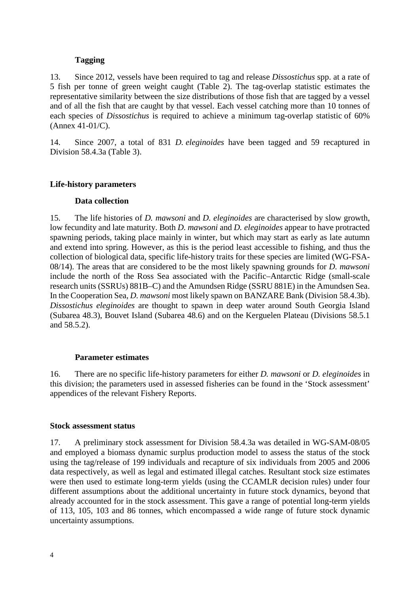### **Tagging**

13. Since 2012, vessels have been required to tag and release *Dissostichus* spp. at a rate of 5 fish per tonne of green weight caught (Table 2). The tag-overlap statistic estimates the representative similarity between the size distributions of those fish that are tagged by a vessel and of all the fish that are caught by that vessel. Each vessel catching more than 10 tonnes of each species of *Dissostichus* is required to achieve a minimum tag-overlap statistic of 60% (Annex 41-01/C).

14. Since 2007, a total of 831 *D. eleginoides* have been tagged and 59 recaptured in Division 58.4.3a (Table 3).

## **Life-history parameters**

### **Data collection**

15. The life histories of *D. mawsoni* and *D. eleginoides* are characterised by slow growth, low fecundity and late maturity. Both *D. mawsoni* and *D. eleginoides* appear to have protracted spawning periods, taking place mainly in winter, but which may start as early as late autumn and extend into spring. However, as this is the period least accessible to fishing, and thus the collection of biological data, specific life-history traits for these species are limited (WG-FSA-08/14). The areas that are considered to be the most likely spawning grounds for *D. mawsoni* include the north of the Ross Sea associated with the Pacific–Antarctic Ridge (small-scale research units (SSRUs) 881B–C) and the Amundsen Ridge (SSRU 881E) in the Amundsen Sea. In the Cooperation Sea, *D. mawsoni* most likely spawn on BANZARE Bank (Division 58.4.3b). *Dissostichus eleginoides* are thought to spawn in deep water around South Georgia Island (Subarea 48.3), Bouvet Island (Subarea 48.6) and on the Kerguelen Plateau (Divisions 58.5.1 and 58.5.2).

### **Parameter estimates**

16. There are no specific life-history parameters for either *D. mawsoni* or *D. eleginoides* in this division; the parameters used in assessed fisheries can be found in the 'Stock assessment' appendices of the relevant Fishery Reports.

### **Stock assessment status**

17. A preliminary stock assessment for Division 58.4.3a was detailed in WG-SAM-08/05 and employed a biomass dynamic surplus production model to assess the status of the stock using the tag/release of 199 individuals and recapture of six individuals from 2005 and 2006 data respectively, as well as legal and estimated illegal catches. Resultant stock size estimates were then used to estimate long-term yields (using the CCAMLR decision rules) under four different assumptions about the additional uncertainty in future stock dynamics, beyond that already accounted for in the stock assessment. This gave a range of potential long-term yields of 113, 105, 103 and 86 tonnes, which encompassed a wide range of future stock dynamic uncertainty assumptions.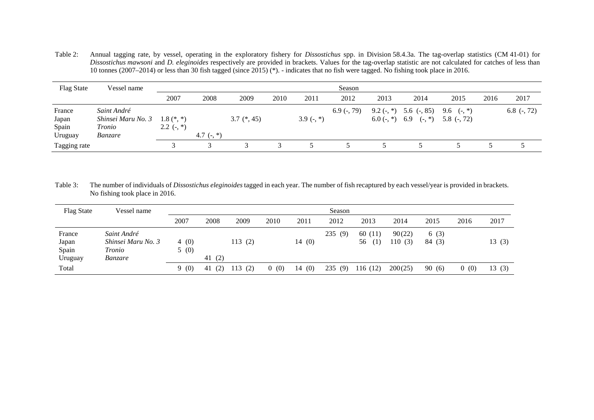Table 2: Annual tagging rate, by vessel, operating in the exploratory fishery for *Dissostichus* spp. in Division 58.4.3a. The tag-overlap statistics (CM 41-01) for *Dissostichus mawsoni* and *D. eleginoides* respectively are provided in brackets. Values for the tag-overlap statistic are not calculated for catches of less than 10 tonnes (2007–2014) or less than 30 fish tagged (since 2015) (\*). - indicates that no fish were tagged. No fishing took place in 2016.

| <b>Flag State</b>                   | Vessel name                                                   | Season                       |              |               |      |            |               |      |                                                                                                                                                                                           |      |      |               |
|-------------------------------------|---------------------------------------------------------------|------------------------------|--------------|---------------|------|------------|---------------|------|-------------------------------------------------------------------------------------------------------------------------------------------------------------------------------------------|------|------|---------------|
|                                     |                                                               | 2007                         | 2008         | 2009          | 2010 | 2011       | 2012          | 2013 | 2014                                                                                                                                                                                      | 2015 | 2016 | 2017          |
| France<br>Japan<br>Spain<br>Uruguay | Saint André<br>Shinsei Maru No. 3<br>Tronio<br><i>Banzare</i> | $1.8$ (*, *)<br>$2.2$ (-, *) | 4.7 $(-, *)$ | $3.7$ (*, 45) |      | $3.9(-,*)$ | $6.9$ (-, 79) |      | 9.2 $\left(\text{-}, \text{*}\right)$ 5.6 $\left(\text{-}, 85\right)$ 9.6 $\left(\text{-}, \text{*}\right)$<br>6.0 $\left(-, * \right)$ 6.9 $\left(-, * \right)$ 5.8 $\left(-, 72\right)$ |      |      | 6.8 $(-, 72)$ |
| Tagging rate                        |                                                               |                              |              |               |      |            |               |      |                                                                                                                                                                                           |      |      |               |

Table 3: The number of individuals of *Dissostichus eleginoides* tagged in each year. The number of fish recaptured by each vessel/year is provided in brackets. No fishing took place in 2016.

| <b>Flag State</b>                   | Vessel name                                            | Season       |           |        |      |           |        |                         |                  |                |                       |       |
|-------------------------------------|--------------------------------------------------------|--------------|-----------|--------|------|-----------|--------|-------------------------|------------------|----------------|-----------------------|-------|
|                                     |                                                        | 2007         | 2008      | 2009   | 2010 | 2011      | 2012   | 2013                    | 2014             | 2015           | 2016                  | 2017  |
| France<br>Japan<br>Spain<br>Uruguay | Saint André<br>Shinsei Maru No. 3<br>Tronio<br>Banzare | 4(0)<br>5(0) | 41 $(2)$  | 113(2) |      | 14(0)     | 235(9) | 60<br>(11)<br>56<br>(1) | 90(22)<br>110(3) | 6(3)<br>84 (3) |                       | 13(3) |
| Total                               |                                                        | 9(0)         | (2)<br>41 | 113(2) | 0(0) | (0)<br>14 | 235(9) | 116 (12)                | 200(25)          | 90(6)          | (0)<br>$\overline{0}$ | 13(3) |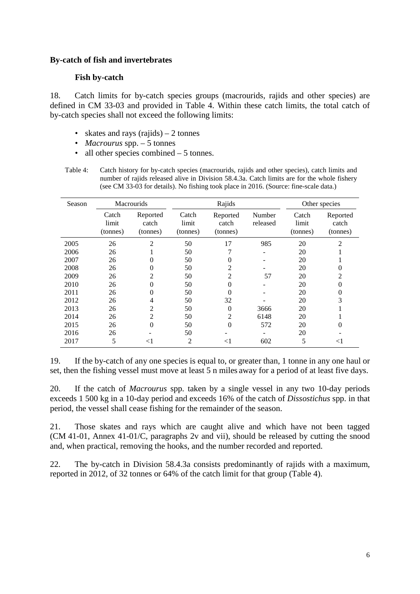### **By-catch of fish and invertebrates**

## **Fish by-catch**

18. Catch limits for by-catch species groups (macrourids, rajids and other species) are defined in CM 33-03 and provided in Table 4. Within these catch limits, the total catch of by-catch species shall not exceed the following limits:

- skates and rays  $(rajids) 2$  tonnes
- *Macrourus* spp. 5 tonnes
- all other species combined 5 tonnes.
- Table 4: Catch history for by-catch species (macrourids, rajids and other species), catch limits and number of rajids released alive in Division 58.4.3a. Catch limits are for the whole fishery (see CM 33-03 for details). No fishing took place in 2016. (Source: fine-scale data.)

| Season |                            | <b>Macrourids</b>             |                            | Rajids                        | Other species      |                            |                               |
|--------|----------------------------|-------------------------------|----------------------------|-------------------------------|--------------------|----------------------------|-------------------------------|
|        | Catch<br>limit<br>(tonnes) | Reported<br>catch<br>(tonnes) | Catch<br>limit<br>(tonnes) | Reported<br>catch<br>(tonnes) | Number<br>released | Catch<br>limit<br>(tonnes) | Reported<br>catch<br>(tonnes) |
| 2005   | 26                         | $\overline{2}$                | 50                         | 17                            | 985                | 20                         | 2                             |
| 2006   | 26                         |                               | 50                         | 7                             |                    | 20                         |                               |
| 2007   | 26                         | 0                             | 50                         | 0                             |                    | 20                         |                               |
| 2008   | 26                         | $\theta$                      | 50                         | 2                             |                    | 20                         | 0                             |
| 2009   | 26                         | $\overline{c}$                | 50                         | $\overline{c}$                | 57                 | 20                         | 2                             |
| 2010   | 26                         | $\theta$                      | 50                         | $\overline{0}$                |                    | 20                         | 0                             |
| 2011   | 26                         | $\theta$                      | 50                         | 0                             |                    | 20                         | 0                             |
| 2012   | 26                         | 4                             | 50                         | 32                            |                    | 20                         | 3                             |
| 2013   | 26                         | $\overline{2}$                | 50                         | $\overline{0}$                | 3666               | 20                         |                               |
| 2014   | 26                         | $\overline{2}$                | 50                         | $\overline{c}$                | 6148               | 20                         |                               |
| 2015   | 26                         | $\overline{0}$                | 50                         | $\overline{0}$                | 572                | 20                         | 0                             |
| 2016   | 26                         |                               | 50                         |                               |                    | 20                         |                               |
| 2017   | 5                          | $<$ 1                         | 2                          | $<$ 1                         | 602                | 5                          | $< \! 1$                      |

19. If the by-catch of any one species is equal to, or greater than, 1 tonne in any one haul or set, then the fishing vessel must move at least 5 n miles away for a period of at least five days.

20. If the catch of *Macrourus* spp. taken by a single vessel in any two 10-day periods exceeds 1 500 kg in a 10-day period and exceeds 16% of the catch of *Dissostichus* spp. in that period, the vessel shall cease fishing for the remainder of the season.

21. Those skates and rays which are caught alive and which have not been tagged (CM 41-01, Annex 41-01/C, paragraphs 2v and vii), should be released by cutting the snood and, when practical, removing the hooks, and the number recorded and reported.

22. The by-catch in Division 58.4.3a consists predominantly of rajids with a maximum, reported in 2012, of 32 tonnes or 64% of the catch limit for that group (Table 4).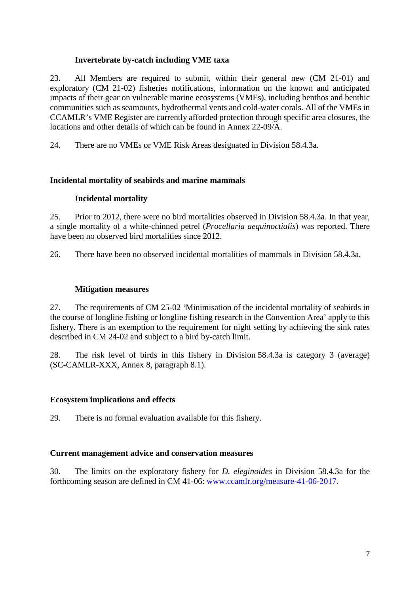## **Invertebrate by-catch including VME taxa**

23. All Members are required to submit, within their general new (CM 21-01) and exploratory (CM 21-02) fisheries notifications, information on the known and anticipated impacts of their gear on vulnerable marine ecosystems (VMEs), including benthos and benthic communities such as seamounts, hydrothermal vents and cold-water corals. All of the VMEs in CCAMLR's VME Register are currently afforded protection through specific area closures, the locations and other details of which can be found in Annex 22-09/A.

24. There are no VMEs or VME Risk Areas designated in Division 58.4.3a.

# **Incidental mortality of seabirds and marine mammals**

## **Incidental mortality**

25. Prior to 2012, there were no bird mortalities observed in Division 58.4.3a. In that year, a single mortality of a white-chinned petrel (*Procellaria aequinoctialis*) was reported. There have been no observed bird mortalities since 2012.

26. There have been no observed incidental mortalities of mammals in Division 58.4.3a.

## **Mitigation measures**

27. The requirements of CM 25-02 'Minimisation of the incidental mortality of seabirds in the course of longline fishing or longline fishing research in the Convention Area' apply to this fishery. There is an exemption to the requirement for night setting by achieving the sink rates described in CM 24-02 and subject to a bird by-catch limit.

28. The risk level of birds in this fishery in Division 58.4.3a is category 3 (average) (SC-CAMLR-XXX, Annex 8, paragraph 8.1).

# **Ecosystem implications and effects**

29. There is no formal evaluation available for this fishery.

### **Current management advice and conservation measures**

30. The limits on the exploratory fishery for *D. eleginoides* in Division 58.4.3a for the forthcoming season are defined in CM 41-06: [www.ccamlr.org/measure-41-06-2017.](https://www.ccamlr.org/measure-41-06-2017)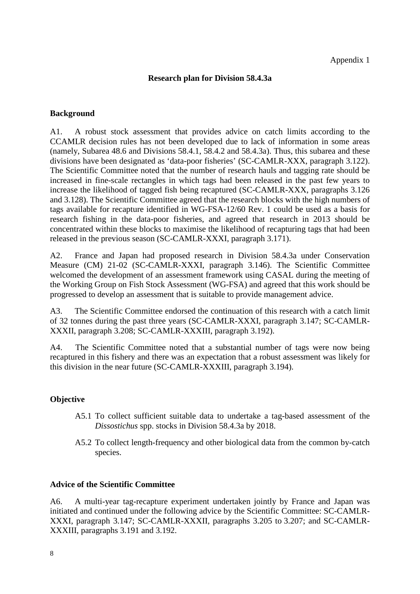## **Research plan for Division 58.4.3a**

### **Background**

A1. A robust stock assessment that provides advice on catch limits according to the CCAMLR decision rules has not been developed due to lack of information in some areas (namely, Subarea 48.6 and Divisions 58.4.1, 58.4.2 and 58.4.3a). Thus, this subarea and these divisions have been designated as 'data-poor fisheries' (SC-CAMLR-XXX, paragraph 3.122). The Scientific Committee noted that the number of research hauls and tagging rate should be increased in fine-scale rectangles in which tags had been released in the past few years to increase the likelihood of tagged fish being recaptured (SC-CAMLR-XXX, paragraphs 3.126 and 3.128). The Scientific Committee agreed that the research blocks with the high numbers of tags available for recapture identified in WG-FSA-12/60 Rev. 1 could be used as a basis for research fishing in the data-poor fisheries, and agreed that research in 2013 should be concentrated within these blocks to maximise the likelihood of recapturing tags that had been released in the previous season (SC-CAMLR-XXXI, paragraph 3.171).

A2. France and Japan had proposed research in Division 58.4.3a under Conservation Measure (CM) 21-02 (SC-CAMLR-XXXI, paragraph 3.146). The Scientific Committee welcomed the development of an assessment framework using CASAL during the meeting of the Working Group on Fish Stock Assessment (WG-FSA) and agreed that this work should be progressed to develop an assessment that is suitable to provide management advice.

A3. The Scientific Committee endorsed the continuation of this research with a catch limit of 32 tonnes during the past three years (SC-CAMLR-XXXI, paragraph 3.147; SC-CAMLR-XXXII, paragraph 3.208; SC-CAMLR-XXXIII, paragraph 3.192).

A4. The Scientific Committee noted that a substantial number of tags were now being recaptured in this fishery and there was an expectation that a robust assessment was likely for this division in the near future (SC-CAMLR-XXXIII, paragraph 3.194).

# **Objective**

- A5.1 To collect sufficient suitable data to undertake a tag-based assessment of the *Dissostichus* spp. stocks in Division 58.4.3a by 2018.
- A5.2 To collect length-frequency and other biological data from the common by-catch species.

### **Advice of the Scientific Committee**

A6. A multi-year tag-recapture experiment undertaken jointly by France and Japan was initiated and continued under the following advice by the Scientific Committee: SC-CAMLR-XXXI, paragraph 3.147; SC-CAMLR-XXXII, paragraphs 3.205 to 3.207; and SC-CAMLR-XXXIII, paragraphs 3.191 and 3.192.